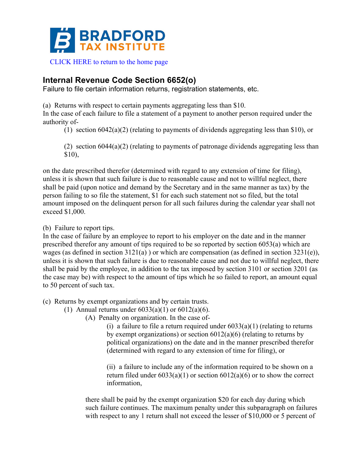

# **Internal Revenue Code Section 6652(o)**

Failure to file certain information returns, registration statements, etc.

(a) Returns with respect to certain payments aggregating less than \$10.

In the case of each failure to file a statement of a payment to another person required under the authority of-

(1) section 6042(a)(2) (relating to payments of dividends aggregating less than \$10), or

(2) section 6044(a)(2) (relating to payments of patronage dividends aggregating less than \$10),

on the date prescribed therefor (determined with regard to any extension of time for filing), unless it is shown that such failure is due to reasonable cause and not to willful neglect, there shall be paid (upon notice and demand by the Secretary and in the same manner as tax) by the person failing to so file the statement, \$1 for each such statement not so filed, but the total amount imposed on the delinquent person for all such failures during the calendar year shall not exceed \$1,000.

(b) Failure to report tips.

In the case of failure by an employee to report to his employer on the date and in the manner prescribed therefor any amount of tips required to be so reported by section 6053(a) which are wages (as defined in section 3121(a) ) or which are compensation (as defined in section 3231(e)), unless it is shown that such failure is due to reasonable cause and not due to willful neglect, there shall be paid by the employee, in addition to the tax imposed by section 3101 or section 3201 (as the case may be) with respect to the amount of tips which he so failed to report, an amount equal to 50 percent of such tax.

(c) Returns by exempt organizations and by certain trusts.

(1) Annual returns under  $6033(a)(1)$  or  $6012(a)(6)$ .

(A) Penalty on organization. In the case of-

(i) a failure to file a return required under  $6033(a)(1)$  (relating to returns by exempt organizations) or section  $6012(a)(6)$  (relating to returns by political organizations) on the date and in the manner prescribed therefor (determined with regard to any extension of time for filing), or

(ii) a failure to include any of the information required to be shown on a return filed under  $6033(a)(1)$  or section  $6012(a)(6)$  or to show the correct information,

there shall be paid by the exempt organization \$20 for each day during which such failure continues. The maximum penalty under this subparagraph on failures with respect to any 1 return shall not exceed the lesser of \$10,000 or 5 percent of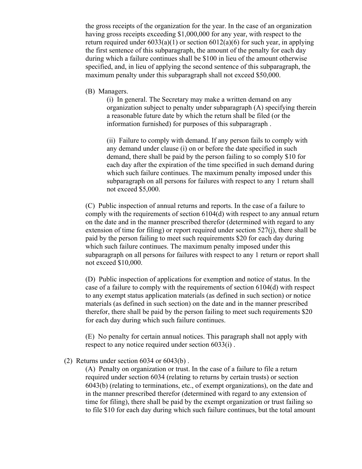the gross receipts of the organization for the year. In the case of an organization having gross receipts exceeding \$1,000,000 for any year, with respect to the return required under  $6033(a)(1)$  or section  $6012(a)(6)$  for such year, in applying the first sentence of this subparagraph, the amount of the penalty for each day during which a failure continues shall be \$100 in lieu of the amount otherwise specified, and, in lieu of applying the second sentence of this subparagraph, the maximum penalty under this subparagraph shall not exceed \$50,000.

(B) Managers.

(i) In general. The Secretary may make a written demand on any organization subject to penalty under subparagraph (A) specifying therein a reasonable future date by which the return shall be filed (or the information furnished) for purposes of this subparagraph .

(ii) Failure to comply with demand. If any person fails to comply with any demand under clause (i) on or before the date specified in such demand, there shall be paid by the person failing to so comply \$10 for each day after the expiration of the time specified in such demand during which such failure continues. The maximum penalty imposed under this subparagraph on all persons for failures with respect to any 1 return shall not exceed \$5,000.

(C) Public inspection of annual returns and reports. In the case of a failure to comply with the requirements of section 6104(d) with respect to any annual return on the date and in the manner prescribed therefor (determined with regard to any extension of time for filing) or report required under section 527(j), there shall be paid by the person failing to meet such requirements \$20 for each day during which such failure continues. The maximum penalty imposed under this subparagraph on all persons for failures with respect to any 1 return or report shall not exceed \$10,000.

(D) Public inspection of applications for exemption and notice of status. In the case of a failure to comply with the requirements of section 6104(d) with respect to any exempt status application materials (as defined in such section) or notice materials (as defined in such section) on the date and in the manner prescribed therefor, there shall be paid by the person failing to meet such requirements \$20 for each day during which such failure continues.

(E) No penalty for certain annual notices. This paragraph shall not apply with respect to any notice required under section 6033(i) .

(2) Returns under section 6034 or 6043(b) .

(A) Penalty on organization or trust. In the case of a failure to file a return required under section 6034 (relating to returns by certain trusts) or section 6043(b) (relating to terminations, etc., of exempt organizations), on the date and in the manner prescribed therefor (determined with regard to any extension of time for filing), there shall be paid by the exempt organization or trust failing so to file \$10 for each day during which such failure continues, but the total amount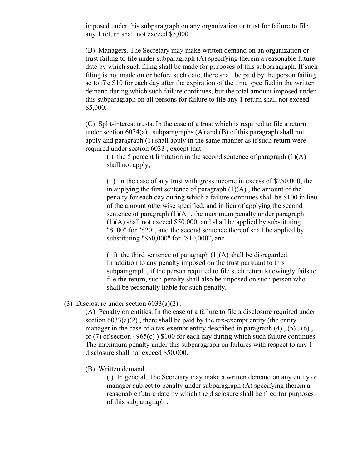imposed under this subparagraph on any organization or trust for failure to file any 1 return shall not exceed \$5,000.

(B) Managers. The Secretary may make written demand on an organization or trust failing to file under subparagraph (A) specifying therein a reasonable future date by which such filing shall be made for purposes of this subparagraph. If such filing is not made on or before such date, there shall be paid by the person failing so to file \$10 for each day after the expiration of the time specified in the written demand during which such failure continues, but the total amount imposed under this subparagraph on all persons for failure to file any 1 return shall not exceed \$5,000.

(C) Split-interest trusts. In the case of a trust which is required to file a return under section  $6034(a)$ , subparagraphs  $(A)$  and  $(B)$  of this paragraph shall not apply and paragraph (1) shall apply in the same manner as if such return were required under section 6033 , except that-

(i) the 5 percent limitation in the second sentence of paragraph  $(1)(A)$ shall not apply,

(ii) in the case of any trust with gross income in excess of \$250,000, the in applying the first sentence of paragraph  $(1)(A)$ , the amount of the penalty for each day during which a failure continues shall be \$100 in lieu of the amount otherwise specified, and in lieu of applying the second sentence of paragraph  $(1)(A)$ , the maximum penalty under paragraph (1)(A) shall not exceed \$50,000, and shall be applied by substituting "\$100" for "\$20", and the second sentence thereof shall be applied by substituting "\$50,000" for "\$10,000", and

(iii) the third sentence of paragraph  $(1)(A)$  shall be disregarded. In addition to any penalty imposed on the trust pursuant to this subparagraph , if the person required to file such return knowingly fails to file the return, such penalty shall also be imposed on such person who shall be personally liable for such penalty.

#### (3) Disclosure under section  $6033(a)(2)$ .

(A) Penalty on entities. In the case of a failure to file a disclosure required under section  $6033(a)(2)$ , there shall be paid by the tax-exempt entity (the entity manager in the case of a tax-exempt entity described in paragraph  $(4)$ ,  $(5)$ ,  $(6)$ , or (7) of section 4965(c) ) \$100 for each day during which such failure continues. The maximum penalty under this subparagraph on failures with respect to any 1 disclosure shall not exceed \$50,000.

(B) Written demand.

(i) In general. The Secretary may make a written demand on any entity or manager subject to penalty under subparagraph (A) specifying therein a reasonable future date by which the disclosure shall be filed for purposes of this subparagraph .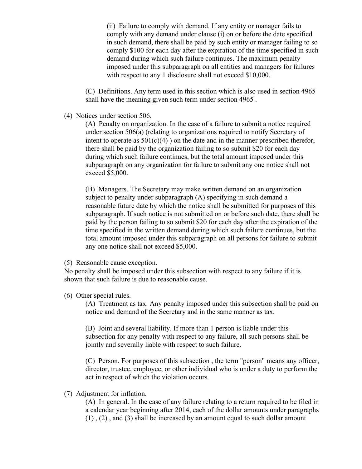(ii) Failure to comply with demand. If any entity or manager fails to comply with any demand under clause (i) on or before the date specified in such demand, there shall be paid by such entity or manager failing to so comply \$100 for each day after the expiration of the time specified in such demand during which such failure continues. The maximum penalty imposed under this subparagraph on all entities and managers for failures with respect to any 1 disclosure shall not exceed \$10,000.

(C) Definitions. Any term used in this section which is also used in section 4965 shall have the meaning given such term under section 4965 .

(4) Notices under section 506.

(A) Penalty on organization. In the case of a failure to submit a notice required under section 506(a) (relating to organizations required to notify Secretary of intent to operate as  $501(c)(4)$ ) on the date and in the manner prescribed therefor, there shall be paid by the organization failing to so submit \$20 for each day during which such failure continues, but the total amount imposed under this subparagraph on any organization for failure to submit any one notice shall not exceed \$5,000.

(B) Managers. The Secretary may make written demand on an organization subject to penalty under subparagraph (A) specifying in such demand a reasonable future date by which the notice shall be submitted for purposes of this subparagraph. If such notice is not submitted on or before such date, there shall be paid by the person failing to so submit \$20 for each day after the expiration of the time specified in the written demand during which such failure continues, but the total amount imposed under this subparagraph on all persons for failure to submit any one notice shall not exceed \$5,000.

(5) Reasonable cause exception.

No penalty shall be imposed under this subsection with respect to any failure if it is shown that such failure is due to reasonable cause.

(6) Other special rules.

(A) Treatment as tax. Any penalty imposed under this subsection shall be paid on notice and demand of the Secretary and in the same manner as tax.

(B) Joint and several liability. If more than 1 person is liable under this subsection for any penalty with respect to any failure, all such persons shall be jointly and severally liable with respect to such failure.

(C) Person. For purposes of this subsection , the term "person" means any officer, director, trustee, employee, or other individual who is under a duty to perform the act in respect of which the violation occurs.

(7) Adjustment for inflation.

(A) In general. In the case of any failure relating to a return required to be filed in a calendar year beginning after 2014, each of the dollar amounts under paragraphs (1) , (2) , and (3) shall be increased by an amount equal to such dollar amount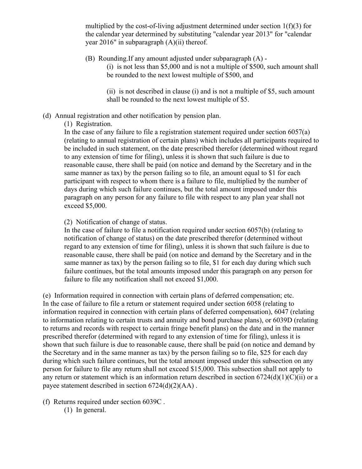multiplied by the cost-of-living adjustment determined under section  $1(f)(3)$  for the calendar year determined by substituting "calendar year 2013" for "calendar year 2016" in subparagraph (A)(ii) thereof.

(B) Rounding.If any amount adjusted under subparagraph (A) -

(i) is not less than \$5,000 and is not a multiple of \$500, such amount shall be rounded to the next lowest multiple of \$500, and

(ii) is not described in clause (i) and is not a multiple of \$5, such amount shall be rounded to the next lowest multiple of \$5.

## (d) Annual registration and other notification by pension plan.

### (1) Registration.

In the case of any failure to file a registration statement required under section  $6057(a)$ (relating to annual registration of certain plans) which includes all participants required to be included in such statement, on the date prescribed therefor (determined without regard to any extension of time for filing), unless it is shown that such failure is due to reasonable cause, there shall be paid (on notice and demand by the Secretary and in the same manner as tax) by the person failing so to file, an amount equal to \$1 for each participant with respect to whom there is a failure to file, multiplied by the number of days during which such failure continues, but the total amount imposed under this paragraph on any person for any failure to file with respect to any plan year shall not exceed \$5,000.

### (2) Notification of change of status.

In the case of failure to file a notification required under section 6057(b) (relating to notification of change of status) on the date prescribed therefor (determined without regard to any extension of time for filing), unless it is shown that such failure is due to reasonable cause, there shall be paid (on notice and demand by the Secretary and in the same manner as tax) by the person failing so to file, \$1 for each day during which such failure continues, but the total amounts imposed under this paragraph on any person for failure to file any notification shall not exceed \$1,000.

(e) Information required in connection with certain plans of deferred compensation; etc. In the case of failure to file a return or statement required under section 6058 (relating to information required in connection with certain plans of deferred compensation), 6047 (relating to information relating to certain trusts and annuity and bond purchase plans), or 6039D (relating to returns and records with respect to certain fringe benefit plans) on the date and in the manner prescribed therefor (determined with regard to any extension of time for filing), unless it is shown that such failure is due to reasonable cause, there shall be paid (on notice and demand by the Secretary and in the same manner as tax) by the person failing so to file, \$25 for each day during which such failure continues, but the total amount imposed under this subsection on any person for failure to file any return shall not exceed \$15,000. This subsection shall not apply to any return or statement which is an information return described in section  $6724(d)(1)(C)(ii)$  or a payee statement described in section 6724(d)(2)(AA) .

(f) Returns required under section 6039C .

(1) In general.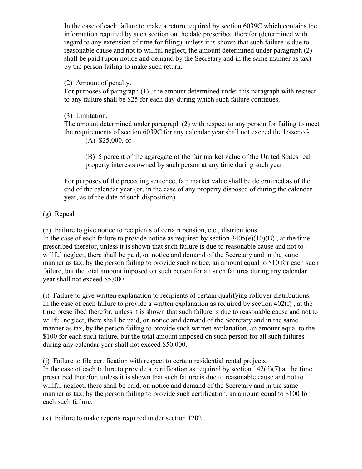In the case of each failure to make a return required by section 6039C which contains the information required by such section on the date prescribed therefor (determined with regard to any extension of time for filing), unless it is shown that such failure is due to reasonable cause and not to willful neglect, the amount determined under paragraph (2) shall be paid (upon notice and demand by the Secretary and in the same manner as tax) by the person failing to make such return.

## (2) Amount of penalty.

For purposes of paragraph (1) , the amount determined under this paragraph with respect to any failure shall be \$25 for each day during which such failure continues.

### (3) Limitation.

The amount determined under paragraph (2) with respect to any person for failing to meet the requirements of section 6039C for any calendar year shall not exceed the lesser of- (A) \$25,000, or

(B) 5 percent of the aggregate of the fair market value of the United States real property interests owned by such person at any time during such year.

For purposes of the preceding sentence, fair market value shall be determined as of the end of the calendar year (or, in the case of any property disposed of during the calendar year, as of the date of such disposition).

### (g) Repeal

(h) Failure to give notice to recipients of certain pension, etc., distributions.

In the case of each failure to provide notice as required by section  $3405(e)(10)(B)$ , at the time prescribed therefor, unless it is shown that such failure is due to reasonable cause and not to willful neglect, there shall be paid, on notice and demand of the Secretary and in the same manner as tax, by the person failing to provide such notice, an amount equal to \$10 for each such failure, but the total amount imposed on such person for all such failures during any calendar year shall not exceed \$5,000.

(i) Failure to give written explanation to recipients of certain qualifying rollover distributions. In the case of each failure to provide a written explanation as required by section 402(f) , at the time prescribed therefor, unless it is shown that such failure is due to reasonable cause and not to willful neglect, there shall be paid, on notice and demand of the Secretary and in the same manner as tax, by the person failing to provide such written explanation, an amount equal to the \$100 for each such failure, but the total amount imposed on such person for all such failures during any calendar year shall not exceed \$50,000.

(j) Failure to file certification with respect to certain residential rental projects.

In the case of each failure to provide a certification as required by section  $142(d)(7)$  at the time prescribed therefor, unless it is shown that such failure is due to reasonable cause and not to willful neglect, there shall be paid, on notice and demand of the Secretary and in the same manner as tax, by the person failing to provide such certification, an amount equal to \$100 for each such failure.

(k) Failure to make reports required under section 1202 .